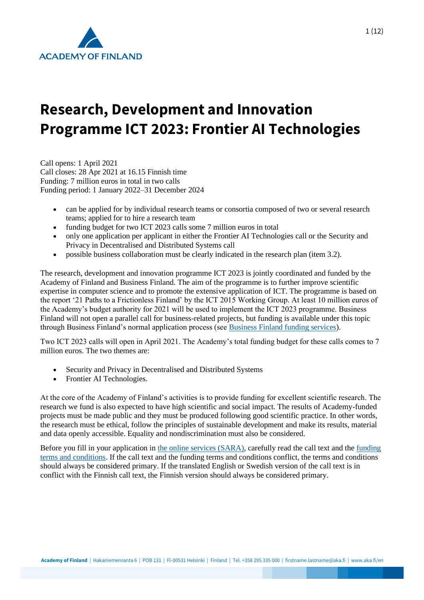

# **Research, Development and Innovation Programme ICT 2023: Frontier AI Technologies**

Call opens: 1 April 2021 Call closes: 28 Apr 2021 at 16.15 Finnish time Funding: 7 million euros in total in two calls Funding period: 1 January 2022–31 December 2024

- can be applied for by individual research teams or consortia composed of two or several research teams; applied for to hire a research team
- funding budget for two ICT 2023 calls some 7 million euros in total
- only one application per applicant in either the Frontier AI Technologies call or the Security and Privacy in Decentralised and Distributed Systems call
- possible business collaboration must be clearly indicated in the research plan (item 3.2).

The research, development and innovation programme ICT 2023 is jointly coordinated and funded by the Academy of Finland and Business Finland. The aim of the programme is to further improve scientific expertise in computer science and to promote the extensive application of ICT. The programme is based on the report '21 Paths to a Frictionless Finland' by the ICT 2015 Working Group. At least 10 million euros of the Academy's budget authority for 2021 will be used to implement the ICT 2023 programme. Business Finland will not open a parallel call for business-related projects, but funding is available under this topic through Business Finland's normal application process (see [Business Finland funding services\)](https://www.businessfinland.fi/en/for-finnish-customers/services/funding).

Two ICT 2023 calls will open in April 2021. The Academy's total funding budget for these calls comes to 7 million euros. The two themes are:

- Security and Privacy in Decentralised and Distributed Systems
- Frontier AI Technologies.

At the core of the Academy of Finland's activities is to provide funding for excellent scientific research. The research we fund is also expected to have high scientific and social impact. The results of Academy-funded projects must be made public and they must be produced following good scientific practice. In other words, the research must be ethical, follow the principles of sustainable development and make its results, material and data openly accessible. Equality and nondiscrimination must also be considered.

Before you fill in your application in [the online services \(SARA\),](https://www.aka.fi/en/online-services/) carefully read the call text and the [funding](https://www.aka.fi/en/research-funding/apply-for-funding/how-to-use-funding/)  [terms and conditions.](https://www.aka.fi/en/research-funding/apply-for-funding/how-to-use-funding/) If the call text and the funding terms and conditions conflict, the terms and conditions should always be considered primary. If the translated English or Swedish version of the call text is in conflict with the Finnish call text, the Finnish version should always be considered primary.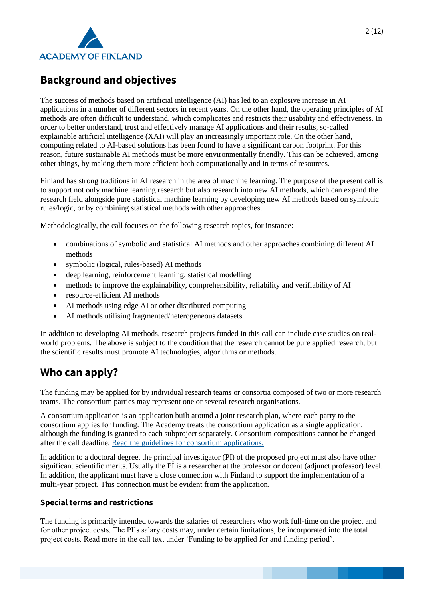

# **Background and objectives**

The success of methods based on artificial intelligence (AI) has led to an explosive increase in AI applications in a number of different sectors in recent years. On the other hand, the operating principles of AI methods are often difficult to understand, which complicates and restricts their usability and effectiveness. In order to better understand, trust and effectively manage AI applications and their results, so-called explainable artificial intelligence (XAI) will play an increasingly important role. On the other hand, computing related to AI-based solutions has been found to have a significant carbon footprint. For this reason, future sustainable AI methods must be more environmentally friendly. This can be achieved, among other things, by making them more efficient both computationally and in terms of resources.

Finland has strong traditions in AI research in the area of machine learning. The purpose of the present call is to support not only machine learning research but also research into new AI methods, which can expand the research field alongside pure statistical machine learning by developing new AI methods based on symbolic rules/logic, or by combining statistical methods with other approaches.

Methodologically, the call focuses on the following research topics, for instance:

- combinations of symbolic and statistical AI methods and other approaches combining different AI methods
- symbolic (logical, rules-based) AI methods
- deep learning, reinforcement learning, statistical modelling
- methods to improve the explainability, comprehensibility, reliability and verifiability of AI
- resource-efficient AI methods
- AI methods using edge AI or other distributed computing
- AI methods utilising fragmented/heterogeneous datasets.

In addition to developing AI methods, research projects funded in this call can include case studies on realworld problems. The above is subject to the condition that the research cannot be pure applied research, but the scientific results must promote AI technologies, algorithms or methods.

## **Who can apply?**

The funding may be applied for by individual research teams or consortia composed of two or more research teams. The consortium parties may represent one or several research organisations.

A consortium application is an application built around a joint research plan, where each party to the consortium applies for funding. The Academy treats the consortium application as a single application, although the funding is granted to each subproject separately. Consortium compositions cannot be changed after the call deadline. [Read the guidelines for consortium applications.](https://www.aka.fi/en/research-funding/apply-for-funding/how-to-apply-for-funding/az-index-of-application-guidelines2/consortium-applications/)

In addition to a doctoral degree, the principal investigator (PI) of the proposed project must also have other significant scientific merits. Usually the PI is a researcher at the professor or docent (adjunct professor) level. In addition, the applicant must have a close connection with Finland to support the implementation of a multi-year project. This connection must be evident from the application.

#### **Special terms and restrictions**

The funding is primarily intended towards the salaries of researchers who work full-time on the project and for other project costs. The PI's salary costs may, under certain limitations, be incorporated into the total project costs. Read more in the call text under 'Funding to be applied for and funding period'.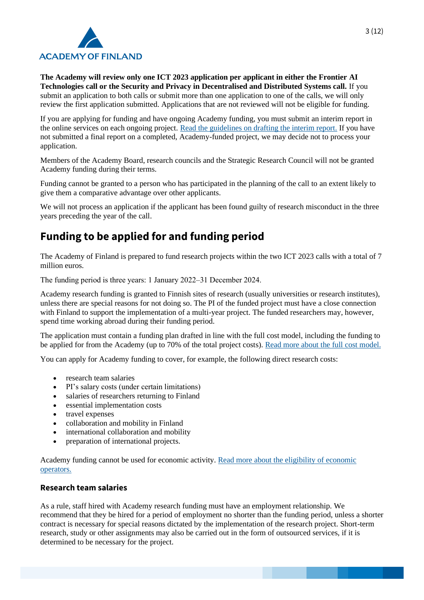

**The Academy will review only one ICT 2023 application per applicant in either the Frontier AI Technologies call or the Security and Privacy in Decentralised and Distributed Systems call.** If you submit an application to both calls or submit more than one application to one of the calls, we will only review the first application submitted. Applications that are not reviewed will not be eligible for funding.

If you are applying for funding and have ongoing Academy funding, you must submit an interim report in the online services on each ongoing project. [Read the guidelines on drafting the interim report.](https://www.aka.fi/en/research-funding/apply-for-funding/how-to-apply-for-funding/az-index-of-application-guidelines2/interim-report/) If you have not submitted a final report on a completed, Academy-funded project, we may decide not to process your application.

Members of the Academy Board, research councils and the Strategic Research Council will not be granted Academy funding during their terms.

Funding cannot be granted to a person who has participated in the planning of the call to an extent likely to give them a comparative advantage over other applicants.

We will not process an application if the applicant has been found guilty of research misconduct in the three years preceding the year of the call.

# **Funding to be applied for and funding period**

The Academy of Finland is prepared to fund research projects within the two ICT 2023 calls with a total of 7 million euros.

The funding period is three years: 1 January 2022–31 December 2024.

Academy research funding is granted to Finnish sites of research (usually universities or research institutes), unless there are special reasons for not doing so. The PI of the funded project must have a close connection with Finland to support the implementation of a multi-year project. The funded researchers may, however, spend time working abroad during their funding period.

The application must contain a funding plan drafted in line with the full cost model, including the funding to be applied for from the Academy (up to 70% of the total project costs). [Read more about the full cost model.](https://www.aka.fi/en/research-funding/apply-for-funding/how-to-apply-for-funding/az-index-of-application-guidelines2/full-cost-model/)

You can apply for Academy funding to cover, for example, the following direct research costs:

- research team salaries
- PI's salary costs (under certain limitations)
- salaries of researchers returning to Finland
- essential implementation costs
- travel expenses
- collaboration and mobility in Finland
- international collaboration and mobility
- preparation of international projects.

Academy funding cannot be used for economic activity. [Read more about the eligibility of economic](https://www.aka.fi/en/research-funding/apply-for-funding/how-to-apply-for-funding/az-index-of-application-guidelines2/economic-operator/)  [operators.](https://www.aka.fi/en/research-funding/apply-for-funding/how-to-apply-for-funding/az-index-of-application-guidelines2/economic-operator/)

#### **Research team salaries**

As a rule, staff hired with Academy research funding must have an employment relationship. We recommend that they be hired for a period of employment no shorter than the funding period, unless a shorter contract is necessary for special reasons dictated by the implementation of the research project. Short-term research, study or other assignments may also be carried out in the form of outsourced services, if it is determined to be necessary for the project.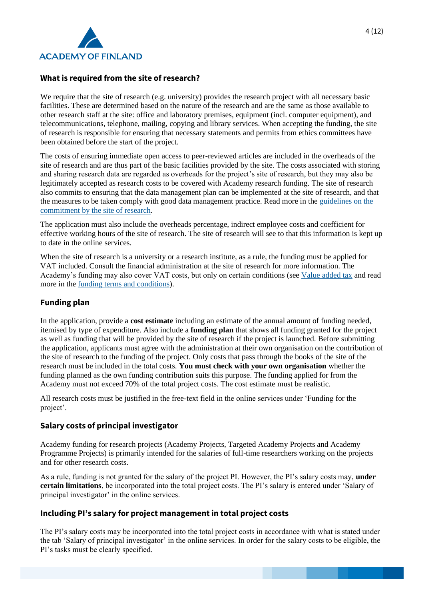

#### **What is required from the site of research?**

We require that the site of research (e.g. university) provides the research project with all necessary basic facilities. These are determined based on the nature of the research and are the same as those available to other research staff at the site: office and laboratory premises, equipment (incl. computer equipment), and telecommunications, telephone, mailing, copying and library services. When accepting the funding, the site of research is responsible for ensuring that necessary statements and permits from ethics committees have been obtained before the start of the project.

The costs of ensuring immediate open access to peer-reviewed articles are included in the overheads of the site of research and are thus part of the basic facilities provided by the site. The costs associated with storing and sharing research data are regarded as overheads for the project's site of research, but they may also be legitimately accepted as research costs to be covered with Academy research funding. The site of research also commits to ensuring that the data management plan can be implemented at the site of research, and that the measures to be taken comply with good data management practice. Read more in the [guidelines on the](https://www.aka.fi/en/research-funding/apply-for-funding/how-to-apply-for-funding/az-index-of-application-guidelines2/commitment-by-site-of-research/)  [commitment by the site of research.](https://www.aka.fi/en/research-funding/apply-for-funding/how-to-apply-for-funding/az-index-of-application-guidelines2/commitment-by-site-of-research/)

The application must also include the overheads percentage, indirect employee costs and coefficient for effective working hours of the site of research. The site of research will see to that this information is kept up to date in the online services.

When the site of research is a university or a research institute, as a rule, the funding must be applied for VAT included. Consult the financial administration at the site of research for more information. The Academy's funding may also cover VAT costs, but only on certain conditions (see [Value added tax](https://www.aka.fi/en/research-funding/apply-for-funding/how-to-apply-for-funding/az-index-of-application-guidelines2/value-added-tax/) and read more in the [funding terms and conditions\)](https://www.aka.fi/en/research-funding/apply-for-funding/how-to-use-funding/).

#### **Funding plan**

In the application, provide a **cost estimate** including an estimate of the annual amount of funding needed, itemised by type of expenditure. Also include a **funding plan** that shows all funding granted for the project as well as funding that will be provided by the site of research if the project is launched. Before submitting the application, applicants must agree with the administration at their own organisation on the contribution of the site of research to the funding of the project. Only costs that pass through the books of the site of the research must be included in the total costs. **You must check with your own organisation** whether the funding planned as the own funding contribution suits this purpose. The funding applied for from the Academy must not exceed 70% of the total project costs. The cost estimate must be realistic.

All research costs must be justified in the free-text field in the online services under 'Funding for the project'.

#### **Salary costs of principal investigator**

Academy funding for research projects (Academy Projects, Targeted Academy Projects and Academy Programme Projects) is primarily intended for the salaries of full-time researchers working on the projects and for other research costs.

As a rule, funding is not granted for the salary of the project PI. However, the PI's salary costs may, **under certain limitations**, be incorporated into the total project costs. The PI's salary is entered under 'Salary of principal investigator' in the online services.

#### **Including PI's salary for project management in total project costs**

The PI's salary costs may be incorporated into the total project costs in accordance with what is stated under the tab 'Salary of principal investigator' in the online services. In order for the salary costs to be eligible, the PI's tasks must be clearly specified.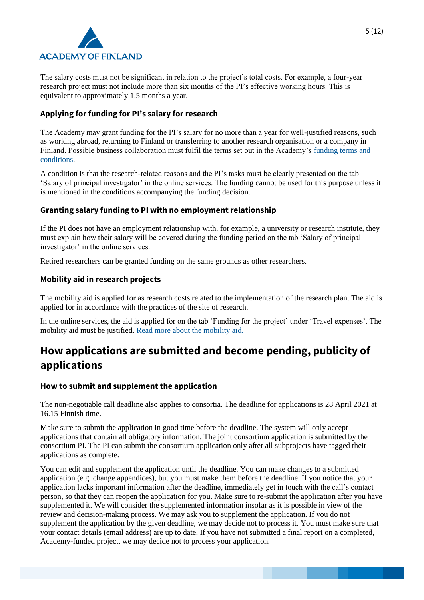

The salary costs must not be significant in relation to the project's total costs. For example, a four-year research project must not include more than six months of the PI's effective working hours. This is equivalent to approximately 1.5 months a year.

#### **Applying for funding for PI's salary for research**

The Academy may grant funding for the PI's salary for no more than a year for well-justified reasons, such as working abroad, returning to Finland or transferring to another research organisation or a company in Finland. Possible business collaboration must fulfil the terms set out in the Academy's [funding terms and](https://www.aka.fi/en/research-funding/apply-for-funding/how-to-use-funding/)  [conditions.](https://www.aka.fi/en/research-funding/apply-for-funding/how-to-use-funding/)

A condition is that the research-related reasons and the PI's tasks must be clearly presented on the tab 'Salary of principal investigator' in the online services. The funding cannot be used for this purpose unless it is mentioned in the conditions accompanying the funding decision.

#### **Granting salary funding to PI with no employment relationship**

If the PI does not have an employment relationship with, for example, a university or research institute, they must explain how their salary will be covered during the funding period on the tab 'Salary of principal investigator' in the online services.

Retired researchers can be granted funding on the same grounds as other researchers.

#### **Mobility aid in research projects**

The mobility aid is applied for as research costs related to the implementation of the research plan. The aid is applied for in accordance with the practices of the site of research.

In the online services, the aid is applied for on the tab 'Funding for the project' under 'Travel expenses'. The mobility aid must be justified. [Read more about the mobility aid.](https://www.aka.fi/en/research-funding/apply-for-funding/how-to-apply-for-funding/az-index-of-application-guidelines2/mobility-allowance-in-research-projects/)

# **How applications are submitted and become pending, publicity of applications**

#### **How to submit and supplement the application**

The non-negotiable call deadline also applies to consortia. The deadline for applications is 28 April 2021 at 16.15 Finnish time.

Make sure to submit the application in good time before the deadline. The system will only accept applications that contain all obligatory information. The joint consortium application is submitted by the consortium PI. The PI can submit the consortium application only after all subprojects have tagged their applications as complete.

You can edit and supplement the application until the deadline. You can make changes to a submitted application (e.g. change appendices), but you must make them before the deadline. If you notice that your application lacks important information after the deadline, immediately get in touch with the call's contact person, so that they can reopen the application for you. Make sure to re-submit the application after you have supplemented it. We will consider the supplemented information insofar as it is possible in view of the review and decision-making process. We may ask you to supplement the application. If you do not supplement the application by the given deadline, we may decide not to process it. You must make sure that your contact details (email address) are up to date. If you have not submitted a final report on a completed, Academy-funded project, we may decide not to process your application.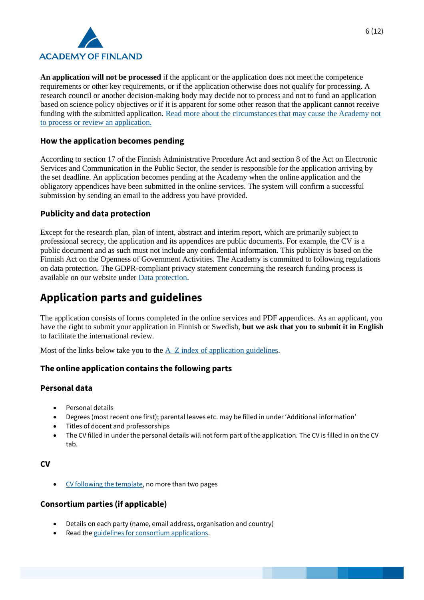

**An application will not be processed** if the applicant or the application does not meet the competence requirements or other key requirements, or if the application otherwise does not qualify for processing. A research council or another decision-making body may decide not to process and not to fund an application based on science policy objectives or if it is apparent for some other reason that the applicant cannot receive funding with the submitted application. [Read more about the circumstances that may cause the Academy not](https://www.aka.fi/en/research-funding/peer-review-and-funding-decision/review-and-decision-making/)  [to process or review an application.](https://www.aka.fi/en/research-funding/peer-review-and-funding-decision/review-and-decision-making/)

#### **How the application becomes pending**

According to section 17 of the Finnish Administrative Procedure Act and section 8 of the Act on Electronic Services and Communication in the Public Sector, the sender is responsible for the application arriving by the set deadline. An application becomes pending at the Academy when the online application and the obligatory appendices have been submitted in the online services. The system will confirm a successful submission by sending an email to the address you have provided.

#### **Publicity and data protection**

Except for the research plan, plan of intent, abstract and interim report, which are primarily subject to professional secrecy, the application and its appendices are public documents. For example, the CV is a public document and as such must not include any confidential information. This publicity is based on the Finnish Act on the Openness of Government Activities. The Academy is committed to following regulations on data protection. The GDPR-compliant privacy statement concerning the research funding process is available on our website under [Data protection.](https://www.aka.fi/en/contacts/data-protection-in-the-academy-of-finland/)

# **Application parts and guidelines**

The application consists of forms completed in the online services and PDF appendices. As an applicant, you have the right to submit your application in Finnish or Swedish, **but we ask that you to submit it in English** to facilitate the international review.

Most of the links below take you to the  $A-Z$  index of application guidelines.

#### **The online application contains the following parts**

#### **Personal data**

- Personal details
- Degrees (most recent one first); parental leaves etc. may be filled in under 'Additional information'
- Titles of docent and professorships
- The CV filled in under the personal details will not form part of the application. The CV is filled in on the CV tab.

#### **CV**

• [CV following the template,](https://www.aka.fi/en/research-funding/apply-for-funding/how-to-apply-for-funding/az-index-of-application-guidelines2/cv-guidelines/) no more than two pages

#### **Consortium parties (if applicable)**

- Details on each party (name, email address, organisation and country)
- Read th[e guidelines for consortium applications.](https://www.aka.fi/en/research-funding/apply-for-funding/how-to-apply-for-funding/az-index-of-application-guidelines2/consortium-applications/)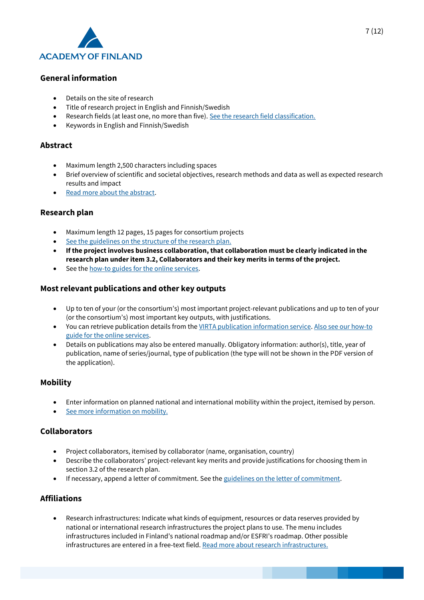

#### **General information**

- Details on the site of research
- Title of research project in English and Finnish/Swedish
- Research fields (at least one, no more than five)[. See the research field classification.](https://www.aka.fi/en/research-funding/apply-for-funding/how-to-apply-for-funding/az-index-of-application-guidelines2/research-field-classification/)
- Keywords in English and Finnish/Swedish

#### **Abstract**

- Maximum length 2,500 characters including spaces
- Brief overview of scientific and societal objectives, research methods and data as well as expected research results and impact
- [Read more about the abstract.](https://www.aka.fi/en/research-funding/apply-for-funding/how-to-apply-for-funding/az-index-of-application-guidelines2/abstract/)

#### **Research plan**

- Maximum length 12 pages, 15 pages for consortium projects
- [See the guidelines on the structure of the research plan.](https://www.aka.fi/en/research-funding/apply-for-funding/how-to-apply-for-funding/az-index-of-application-guidelines2/research-plan-structure/2021/research-plan-structure---academy-programmes-and-targeted-academy-programmes/)
- **If the project involves business collaboration, that collaboration must be clearly indicated in the research plan under item 3.2, Collaborators and their key merits in terms of the project.**
- See th[e how-to guides for the online services.](https://www.aka.fi/en/online-services/)

#### **Most relevant publications and other key outputs**

- Up to ten of your (or the consortium's) most important project-relevant publications and up to ten of your (or the consortium's) most important key outputs, with justifications.
- You can retrieve publication details from th[e VIRTA publication information service.](https://wiki.eduuni.fi/display/cscvirtajtp/VIRTA+in+English) [Also see our how-to](https://www.aka.fi/en/online-services/)  [guide for the online services.](https://www.aka.fi/en/online-services/)
- Details on publications may also be entered manually. Obligatory information: author(s), title, year of publication, name of series/journal, type of publication (the type will not be shown in the PDF version of the application).

#### **Mobility**

- Enter information on planned national and international mobility within the project, itemised by person.
- [See more information on mobility.](https://www.aka.fi/en/research-funding/apply-for-funding/how-to-apply-for-funding/az-index-of-application-guidelines2/mobility/)

#### **Collaborators**

- Project collaborators, itemised by collaborator (name, organisation, country)
- Describe the collaborators' project-relevant key merits and provide justifications for choosing them in section 3.2 of the research plan.
- If necessary, append a letter of commitment. See th[e guidelines on the letter of commitment.](https://www.aka.fi/en/research-funding/apply-for-funding/how-to-apply-for-funding/az-index-of-application-guidelines2/letter-of-commitment/)

#### **Affiliations**

• Research infrastructures: Indicate what kinds of equipment, resources or data reserves provided by national or international research infrastructures the project plans to use. The menu includes infrastructures included in Finland's national roadmap and/or ESFRI's roadmap. Other possible infrastructures are entered in a free-text field[. Read more about research infrastructures.](https://www.aka.fi/en/research-funding/programmes-and-other-funding-schemes/research-infrastructures/)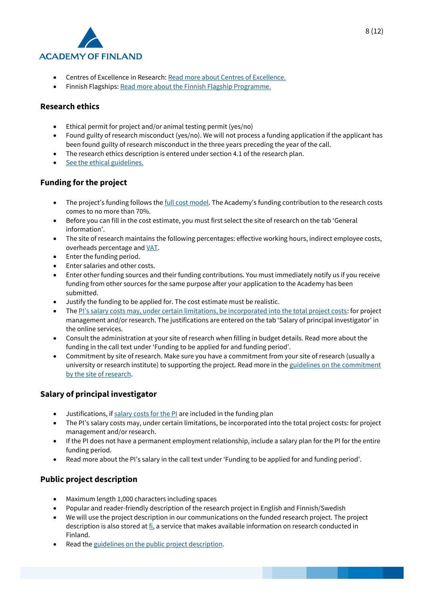

- Centres of Excellence in Research: [Read more about Centres of Excellence.](https://www.aka.fi/en/research-funding/programmes-and-other-funding-schemes/finnish-centres-of-excellence/)
- Finnish Flagships: [Read more about the Finnish Flagship Programme.](https://www.aka.fi/en/research-funding/programmes-and-other-funding-schemes/flagship-programme/)

#### **Research ethics**

- Ethical permit for project and/or animal testing permit (yes/no)
- Found guilty of research misconduct (yes/no). We will not process a funding application if the applicant has been found guilty of research misconduct in the three years preceding the year of the call.
- The research ethics description is entered under section 4.1 of the research plan.
- [See the ethical guidelines.](https://www.aka.fi/en/research-funding/apply-for-funding/how-to-apply-for-funding/az-index-of-application-guidelines2/ethical-questions/)

#### **Funding for the project**

- The project's funding follows the [full cost model](https://www.aka.fi/en/research-funding/apply-for-funding/how-to-apply-for-funding/az-index-of-application-guidelines2/full-cost-model/). The Academy's funding contribution to the research costs comes to no more than 70%.
- Before you can fill in the cost estimate, you must first select the site of research on the tab 'General information'.
- The site of research maintains the following percentages: effective working hours, indirect employee costs, overheads percentage and [VAT.](https://www.aka.fi/en/research-funding/apply-for-funding/how-to-apply-for-funding/az-index-of-application-guidelines2/value-added-tax/)
- Enter the funding period.
- Enter salaries and other costs.
- Enter other funding sources and their funding contributions. You must immediately notify us if you receive funding from other sources for the same purpose after your application to the Academy has been submitted.
- Justify the funding to be applied for. The cost estimate must be realistic.
- The [PI's salary costs may, under certain limitations, be incorporated into the total project costs](https://www.aka.fi/en/research-funding/apply-for-funding/how-to-apply-for-funding/az-index-of-application-guidelines2/salary-of-principal-investigator/): for project management and/or research. The justifications are entered on the tab 'Salary of principal investigator' in the online services.
- Consult the administration at your site of research when filling in budget details. Read more about the funding in the call text under 'Funding to be applied for and funding period'.
- Commitment by site of research. Make sure you have a commitment from your site of research (usually a university or research institute) to supporting the project. Read more in the guidelines on the commitment [by the site of research.](https://www.aka.fi/en/research-funding/apply-for-funding/how-to-apply-for-funding/az-index-of-application-guidelines2/commitment-by-site-of-research/)

#### **Salary of principal investigator**

- Justifications, i[f salary costs for the PI](https://www.aka.fi/en/research-funding/apply-for-funding/how-to-apply-for-funding/az-index-of-application-guidelines2/salary-of-principal-investigator/) are included in the funding plan
- The PI's salary costs may, under certain limitations, be incorporated into the total project costs: for project management and/or research.
- If the PI does not have a permanent employment relationship, include a salary plan for the PI for the entire funding period.
- Read more about the PI's salary in the call text under 'Funding to be applied for and funding period'.

#### **Public project description**

- Maximum length 1,000 characters including spaces
- Popular and reader-friendly description of the research project in English and Finnish/Swedish
- We will use the project description in our communications on the funded research project. The project description is also stored a[t fi,](https://research.fi/en/) a service that makes available information on research conducted in Finland.
- Read th[e guidelines on the public project description.](https://www.aka.fi/en/research-funding/apply-for-funding/how-to-apply-for-funding/az-index-of-application-guidelines2/public-project-description/)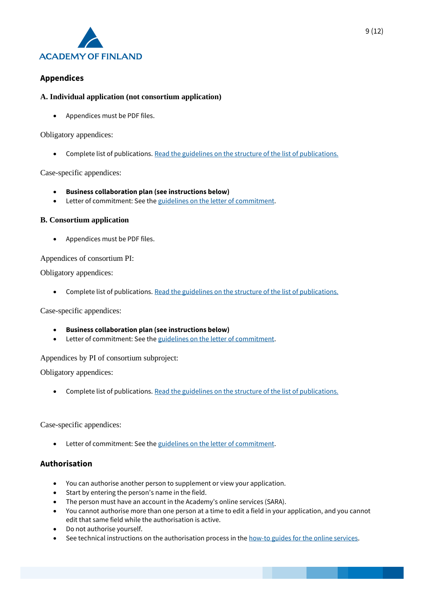

#### **Appendices**

#### **A. Individual application (not consortium application)**

• Appendices must be PDF files.

Obligatory appendices:

• Complete list of publications. [Read the guidelines on the structure of the list of publications.](https://www.aka.fi/en/research-funding/apply-for-funding/how-to-apply-for-funding/az-index-of-application-guidelines2/list-of-publications/)

#### Case-specific appendices:

- **Business collaboration plan (see instructions below)**
- Letter of commitment: See the [guidelines on the letter of](https://www.aka.fi/en/research-funding/apply-for-funding/how-to-apply-for-funding/az-index-of-application-guidelines2/letter-of-commitment/) commitment.

#### **B. Consortium application**

• Appendices must be PDF files.

#### Appendices of consortium PI:

Obligatory appendices:

• Complete list of publications. [Read the guidelines on the structure of the list of publications.](https://www.aka.fi/en/research-funding/apply-for-funding/how-to-apply-for-funding/az-index-of-application-guidelines2/list-of-publications/)

Case-specific appendices:

- **Business collaboration plan (see instructions below)**
- Letter of commitment: See the [guidelines on the letter of commitment.](https://www.aka.fi/en/research-funding/apply-for-funding/how-to-apply-for-funding/az-index-of-application-guidelines2/letter-of-commitment/)

Appendices by PI of consortium subproject:

Obligatory appendices:

• Complete list of publications. [Read the guidelines on the structure of the list of publications.](https://www.aka.fi/en/research-funding/apply-for-funding/how-to-apply-for-funding/az-index-of-application-guidelines2/list-of-publications/)

#### Case-specific appendices:

• Letter of commitment: See the [guidelines on the letter of commitment.](https://www.aka.fi/en/research-funding/apply-for-funding/how-to-apply-for-funding/az-index-of-application-guidelines2/letter-of-commitment/)

#### **Authorisation**

- You can authorise another person to supplement or view your application.
- Start by entering the person's name in the field.
- The person must have an account in the Academy's online services (SARA).
- You cannot authorise more than one person at a time to edit a field in your application, and you cannot edit that same field while the authorisation is active.
- Do not authorise yourself.
- See technical instructions on the authorisation process in th[e how-to guides for the online services.](https://www.aka.fi/en/online-services/)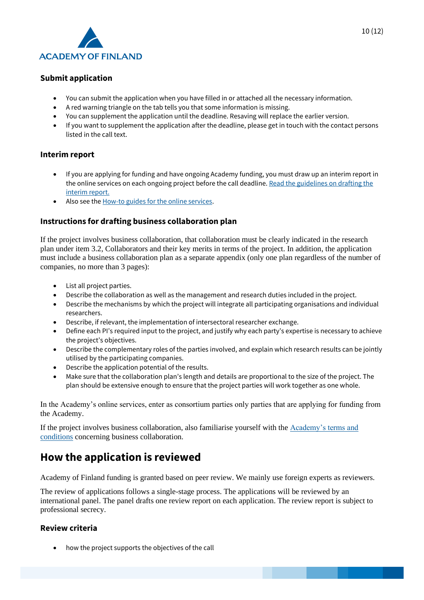

#### **Submit application**

- You can submit the application when you have filled in or attached all the necessary information.
- A red warning triangle on the tab tells you that some information is missing.
- You can supplement the application until the deadline. Resaving will replace the earlier version.
- If you want to supplement the application after the deadline, please get in touch with the contact persons listed in the call text.

#### **Interim report**

- If you are applying for funding and have ongoing Academy funding, you must draw up an interim report in the online services on each ongoing project before the call deadline. Read the guidelines on drafting the [interim report.](https://www.aka.fi/en/research-funding/apply-for-funding/how-to-apply-for-funding/az-index-of-application-guidelines2/interim-report/)
- Also see th[e How-to guides for the online services.](https://www.aka.fi/en/online-services/)

#### **Instructions for drafting business collaboration plan**

If the project involves business collaboration, that collaboration must be clearly indicated in the research plan under item 3.2, Collaborators and their key merits in terms of the project. In addition, the application must include a business collaboration plan as a separate appendix (only one plan regardless of the number of companies, no more than 3 pages):

- List all project parties.
- Describe the collaboration as well as the management and research duties included in the project.
- Describe the mechanisms by which the project will integrate all participating organisations and individual researchers.
- Describe, if relevant, the implementation of intersectoral researcher exchange.
- Define each PI's required input to the project, and justify why each party's expertise is necessary to achieve the project's objectives.
- Describe the complementary roles of the parties involved, and explain which research results can be jointly utilised by the participating companies.
- Describe the application potential of the results.
- Make sure that the collaboration plan's length and details are proportional to the size of the project. The plan should be extensive enough to ensure that the project parties will work together as one whole.

In the Academy's online services, enter as consortium parties only parties that are applying for funding from the Academy.

If the project involves business collaboration, also familiarise yourself with the [Academy's terms and](https://www.aka.fi/en/research-funding/apply-for-funding/how-to-use-funding/)  [conditions](https://www.aka.fi/en/research-funding/apply-for-funding/how-to-use-funding/) concerning business collaboration.

## **How the application is reviewed**

Academy of Finland funding is granted based on peer review. We mainly use foreign experts as reviewers.

The review of applications follows a single-stage process. The applications will be reviewed by an international panel. The panel drafts one review report on each application. The review report is subject to professional secrecy.

#### **Review criteria**

• how the project supports the objectives of the call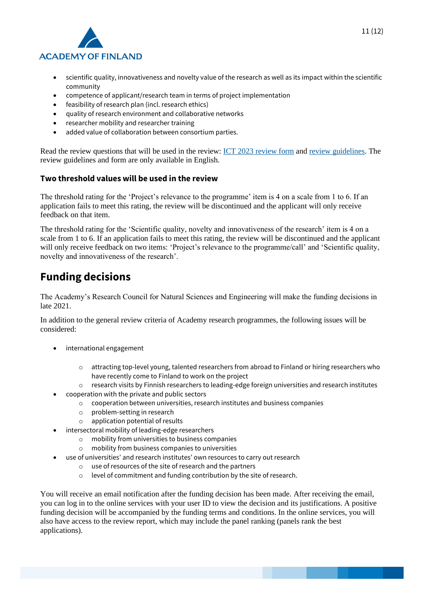

- scientific quality, innovativeness and novelty value of the research as well as its impact within the scientific community
- competence of applicant/research team in terms of project implementation
- feasibility of research plan (incl. research ethics)
- quality of research environment and collaborative networks
- researcher mobility and researcher training
- added value of collaboration between consortium parties.

Read the review questions that will be used in the review: [ICT 2023 review form](https://www.aka.fi/globalassets/1-tutkimusrahoitus/2-arviointi-ja-paatoksenteko/3-arviointiohjeet-ja-lomakkeet/review-form-2021-ict2023.pdf) and [review guidelines.](https://www.aka.fi/globalassets/1-tutkimusrahoitus/2-arviointi-ja-paatoksenteko/3-arviointiohjeet-ja-lomakkeet/instructions-for-reviewing-academy-programme-targeted-call.pdf) The review guidelines and form are only available in English.

#### **Two threshold values will be used in the review**

The threshold rating for the 'Project's relevance to the programme' item is 4 on a scale from 1 to 6. If an application fails to meet this rating, the review will be discontinued and the applicant will only receive feedback on that item.

The threshold rating for the 'Scientific quality, novelty and innovativeness of the research' item is 4 on a scale from 1 to 6. If an application fails to meet this rating, the review will be discontinued and the applicant will only receive feedback on two items: 'Project's relevance to the programme/call' and 'Scientific quality, novelty and innovativeness of the research'.

### **Funding decisions**

The Academy's Research Council for Natural Sciences and Engineering will make the funding decisions in late 2021.

In addition to the general review criteria of Academy research programmes, the following issues will be considered:

- international engagement
	- o attracting top-level young, talented researchers from abroad to Finland or hiring researchers who have recently come to Finland to work on the project
	- o research visits by Finnish researchers to leading-edge foreign universities and research institutes
- cooperation with the private and public sectors
	- $\circ$  cooperation between universities, research institutes and business companies
	- o problem-setting in research
	- o application potential of results
	- intersectoral mobility of leading-edge researchers
		- o mobility from universities to business companies
		- o mobility from business companies to universities
	- use of universities' and research institutes' own resources to carry out research
		- o use of resources of the site of research and the partners
		- o level of commitment and funding contribution by the site of research.

You will receive an email notification after the funding decision has been made. After receiving the email, you can log in to the online services with your user ID to view the decision and its justifications. A positive funding decision will be accompanied by the funding terms and conditions. In the online services, you will also have access to the review report, which may include the panel ranking (panels rank the best applications).